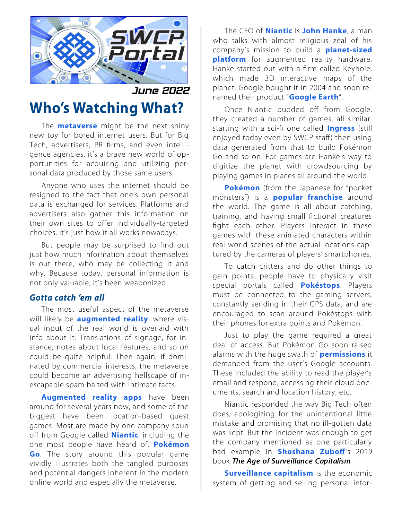

June 2022

## **Who's Watching What?**

The **[metaverse](https://en.wikipedia.org/wiki/Metaverse)** might be the next shiny new toy for bored internet users. But for Big Tech, advertisers, PR firms, and even intelligence agencies, it's a brave new world of opportunities for acquiring and utilizing personal data produced by those same users.

Anyone who uses the internet should be resigned to the fact that one's own personal data is exchanged for services. Platforms and advertisers also gather this information on their own sites to offer individually-targeted choices. It's just how it all works nowadays.

But people may be surprised to find out just how much information about themselves is out there, who may be collecting it and why. Because today, personal information is not only valuable, it's been weaponized.

## *Gotta catch 'em all*

The most useful aspect of the metaverse will likely be **[augmented reality](https://en.wikipedia.org/wiki/Augmented_reality)**, where visual input of the real world is overlaid with info about it. Translations of signage, for instance, notes about local features, and so on could be quite helpful. Then again, if dominated by commercial interests, the metaverse could become an advertising hellscape of inescapable spam baited with intimate facts.

**[Augmented reality apps](https://www.softwaretestinghelp.com/best-augmented-reality-apps/)** have been around for several years now, and some of the biggest have been location-based quest games. Most are made by one company spun off from Google called **[Niantic](https://en.wikipedia.org/wiki/Niantic_(company))**, including the one most people have heard of, **[Pokémon](https://en.wikipedia.org/wiki/Pok%C3%A9mon_Go) [Go](https://en.wikipedia.org/wiki/Pok%C3%A9mon_Go)**. The story around this popular game vividly illustrates both the tangled purposes and potential dangers inherent in the modern online world and especially the metaverse.

The CEO of **[Niantic](https://nianticlabs.com/)** is **[John Hanke](https://en.wikipedia.org/wiki/John_Hanke)**, a man who talks with almost religious zeal of his company's mission to build a **[planet-sized](https://nianticlabs.com/en/about/) [platform](https://nianticlabs.com/en/about/)** for augmented reality hardware. Hanke started out with a firm called Keyhole, which made 3D interactive maps of the planet. Google bought it in 2004 and soon renamed their product "**[Google Earth](https://earth.google.com/web/)**".

Once Niantic budded off from Google, they created a number of games, all similar, starting with a sci-fi one called **[Ingress](https://en.wikipedia.org/wiki/Ingress_(video_game))** (still enjoyed today even by SWCP staff) then using data generated from that to build Pokémon Go and so on. For games are Hanke's way to digitize the planet with crowdsourcing by playing games in places all around the world.

**[Pokémon](https://en.wikipedia.org/wiki/Pok%C3%A9mon)** (from the Japanese for "pocket monsters") is a **[popular franchise](https://www.pokemon.com/us/)** around the world. The game is all about catching, training, and having small fictional creatures fight each other. Players interact in these games with these animated characters within real-world scenes of the actual locations captured by the cameras of players' smartphones.

To catch critters and do other things to gain points, people have to physically visit special portals called **[Pokéstops](https://pokemongohub.net/post/guide/pokestop-scanning-a-step-by-step-guide/)**. Players must be connected to the gaming servers, constantly sending in their GPS data, and are encouraged to scan around Pokéstops with their phones for extra points and Pokémon.

Just to play the game required a great deal of access. But Pokémon Go soon raised alarms with the huge swath of **[permissions](https://sociable.co/technology/cia-backed-pokemon-go-privacy/)** it demanded from the user's Google accounts. These included the ability to read the player's email and respond, accessing their cloud documents, search and location history, etc.

Niantic responded the way Big Tech often does, apologizing for the unintentional little mistake and promising that no ill-gotten data was kept. But the incident was enough to get the company mentioned as one particularly bad example in **[Shoshana Zuboff](https://www.project-syndicate.org/onpoint/surveillance-capitalism-exploiting-behavioral-data-by-shoshana-zuboff-2020-01)**'s 2019 book *The Age of Surveillance Capitalism*.

**[Surveillance capitalism](https://en.wikipedia.org/wiki/Surveillance_capitalism)** is the economic system of getting and selling personal infor